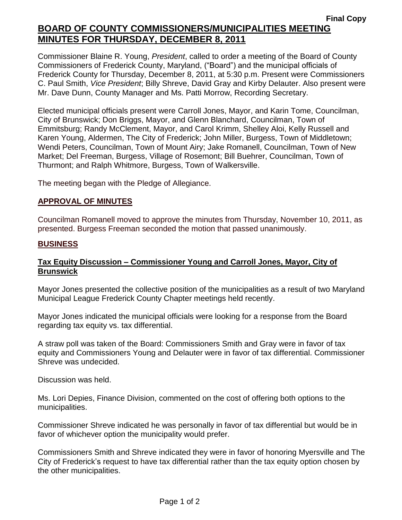Commissioner Blaine R. Young, *President*, called to order a meeting of the Board of County Commissioners of Frederick County, Maryland, ("Board") and the municipal officials of Frederick County for Thursday, December 8, 2011, at 5:30 p.m. Present were Commissioners C. Paul Smith, *Vice President*; Billy Shreve, David Gray and Kirby Delauter. Also present were Mr. Dave Dunn, County Manager and Ms. Patti Morrow, Recording Secretary.

Elected municipal officials present were Carroll Jones, Mayor, and Karin Tome, Councilman, City of Brunswick; Don Briggs, Mayor, and Glenn Blanchard, Councilman, Town of Emmitsburg; Randy McClement, Mayor, and Carol Krimm, Shelley Aloi, Kelly Russell and Karen Young, Aldermen, The City of Frederick; John Miller, Burgess, Town of Middletown; Wendi Peters, Councilman, Town of Mount Airy; Jake Romanell, Councilman, Town of New Market; Del Freeman, Burgess, Village of Rosemont; Bill Buehrer, Councilman, Town of Thurmont; and Ralph Whitmore, Burgess, Town of Walkersville.

The meeting began with the Pledge of Allegiance.

#### *1BU***APPROVAL OF MINUTES**

Councilman Romanell moved to approve the minutes from Thursday, November 10, 2011, as presented. Burgess Freeman seconded the motion that passed unanimously.

#### **BUSINESS**

#### **Tax Equity Discussion – Commissioner Young and Carroll Jones, Mayor, City of Brunswick**

Mayor Jones presented the collective position of the municipalities as a result of two Maryland Municipal League Frederick County Chapter meetings held recently.

Mayor Jones indicated the municipal officials were looking for a response from the Board regarding tax equity vs. tax differential.

A straw poll was taken of the Board: Commissioners Smith and Gray were in favor of tax equity and Commissioners Young and Delauter were in favor of tax differential. Commissioner Shreve was undecided.

Discussion was held.

Ms. Lori Depies, Finance Division, commented on the cost of offering both options to the municipalities.

Commissioner Shreve indicated he was personally in favor of tax differential but would be in favor of whichever option the municipality would prefer.

Commissioners Smith and Shreve indicated they were in favor of honoring Myersville and The City of Frederick's request to have tax differential rather than the tax equity option chosen by the other municipalities.